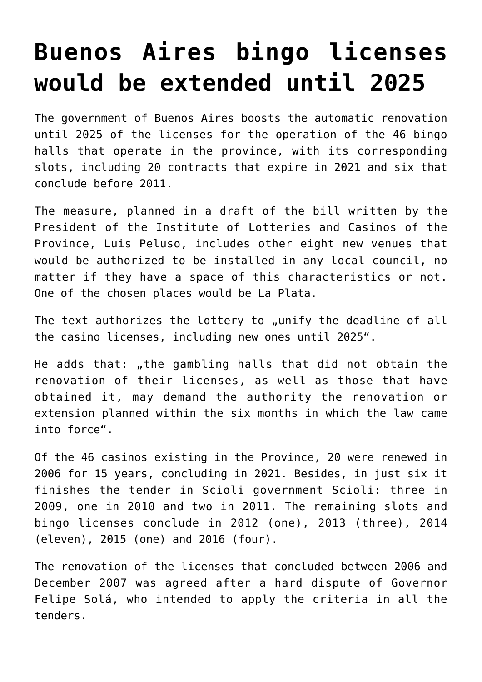## **[Buenos Aires bingo licenses](https://www.isa-guide.de/english-news/articles/23398.html) [would be extended until 2025](https://www.isa-guide.de/english-news/articles/23398.html)**

The government of Buenos Aires boosts the automatic renovation until 2025 of the licenses for the operation of the 46 bingo halls that operate in the province, with its corresponding slots, including 20 contracts that expire in 2021 and six that conclude before 2011.

The measure, planned in a draft of the bill written by the President of the Institute of Lotteries and Casinos of the Province, Luis Peluso, includes other eight new venues that would be authorized to be installed in any local council, no matter if they have a space of this characteristics or not. One of the chosen places would be La Plata.

The text authorizes the lottery to "unify the deadline of all the casino licenses, including new ones until 2025".

He adds that: "the gambling halls that did not obtain the renovation of their licenses, as well as those that have obtained it, may demand the authority the renovation or extension planned within the six months in which the law came into force".

Of the 46 casinos existing in the Province, 20 were renewed in 2006 for 15 years, concluding in 2021. Besides, in just six it finishes the tender in Scioli government Scioli: three in 2009, one in 2010 and two in 2011. The remaining slots and bingo licenses conclude in 2012 (one), 2013 (three), 2014 (eleven), 2015 (one) and 2016 (four).

The renovation of the licenses that concluded between 2006 and December 2007 was agreed after a hard dispute of Governor Felipe Solá, who intended to apply the criteria in all the tenders.